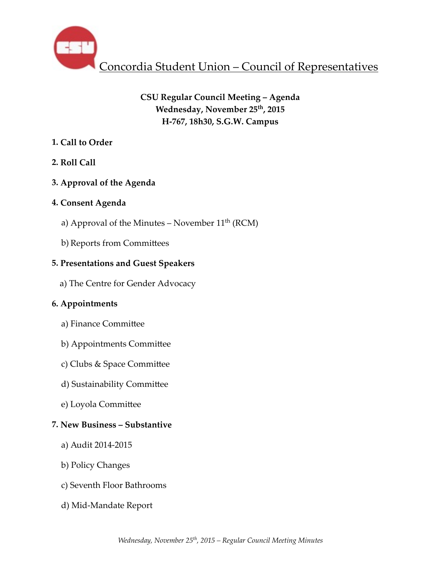

# **CSU Regular Council Meeting – Agenda** Wednesday, November 25<sup>th</sup>, 2015 **H-767, 18h30, S.G.W. Campus**

# **1. Call to Order**

# **2. Roll Call**

# **3. Approval of the Agenda**

# **4. Consent Agenda**

- a) Approval of the Minutes November  $11<sup>th</sup>$  (RCM)
- b) Reports from Committees

# **5. Presentations and Guest Speakers**

 a) The Centre for Gender Advocacy

# **6. Appointments**

- a) Finance Committee
- b) Appointments Committee
- c) Clubs & Space Committee
- d) Sustainability Committee
- e) Loyola Committee

# **7. New Business – Substantive**

- a) Audit 2014-2015
- b) Policy Changes
- c) Seventh Floor Bathrooms
- d) Mid-Mandate Report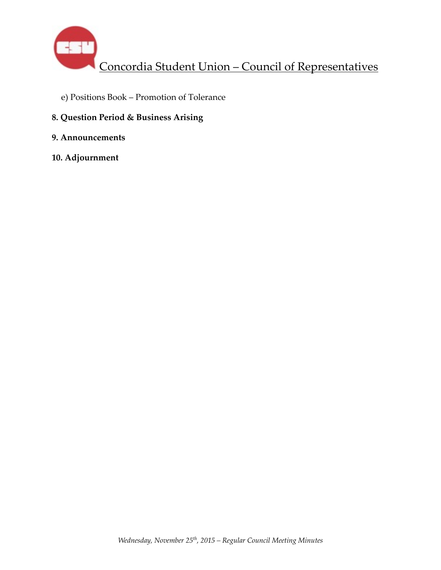

- e) Positions Book Promotion of Tolerance
- **8. Question Period & Business Arising**
- **9. Announcements**
- **10. Adjournment**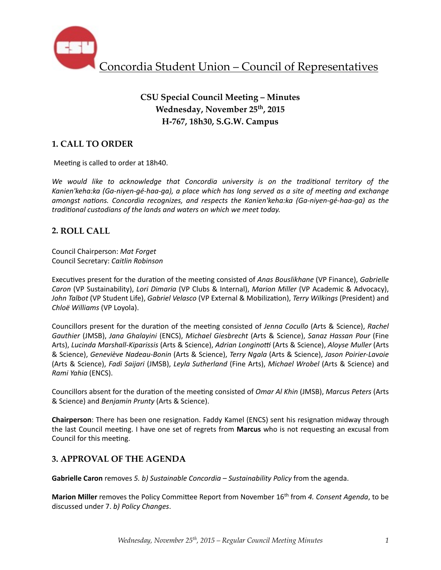

# **CSU Special Council Meeting – Minutes Wednesday, November 25th, 2015 H-767, 18h30, S.G.W. Campus**

# **1. CALL TO ORDER**

Meeting is called to order at 18h40.

We would like to acknowledge that Concordia university is on the traditional territory of the Kanien'keha:ka (Ga-niyen-gé-haa-ga), a place which has long served as a site of meeting and exchange *amongst nations. Concordia recognizes, and respects the Kanien'keha:ka (Ga-niyen-gé-haa-ga)* as the *traditional custodians of the lands and waters on which we meet today.* 

## **2. ROLL CALL**

Council Chairperson: *Mat Forget* Council Secretary: *Caitlin Robinson*

Executives present for the duration of the meeting consisted of *Anas Bouslikhane* (VP Finance), *Gabrielle Caron* (VP Sustainability), *Lori Dimaria* (VP Clubs & Internal), *Marion Miller* (VP Academic & Advocacy), John Talbot (VP Student Life), *Gabriel Velasco* (VP External & Mobilization), *Terry Wilkings* (President) and *Chloë Williams* (VP Loyola). 

Councillors present for the duration of the meeting consisted of *Jenna Cocullo* (Arts & Science), *Rachel Gauthier* (JMSB), *Jana Ghalayini* (ENCS), *Michael Giesbrecht* (Arts & Science), *Sanaz Hassan Pour* (Fine Arts), *Lucinda Marshall-Kiparissis* (Arts & Science), *Adrian Longinotti* (Arts & Science), *Aloyse Muller* (Arts & Science), *Geneviève Nadeau-Bonin* (Arts & Science), *Terry Ngala* (Arts & Science), *Jason Poirier-Lavoie*  (Arts & Science), *Fadi Saijari* (JMSB), *Leyla Sutherland* (Fine Arts), *Michael Wrobel* (Arts & Science) and *Rami Yahia* (ENCS).

Councillors absent for the duration of the meeting consisted of *Omar Al Khin* (JMSB), *Marcus Peters* (Arts & Science) and *Benjamin Prunty* (Arts & Science).

**Chairperson**: There has been one resignation. Faddy Kamel (ENCS) sent his resignation midway through the last Council meeting. I have one set of regrets from **Marcus** who is not requesting an excusal from Council for this meeting.

# **3. APPROVAL OF THE AGENDA**

**Gabrielle Caron** removes 5. b) Sustainable Concordia - Sustainability Policy from the agenda.

**Marion Miller** removes the Policy Committee Report from November 16<sup>th</sup> from 4. Consent Agenda, to be discussed under 7. *b)* Policy Changes.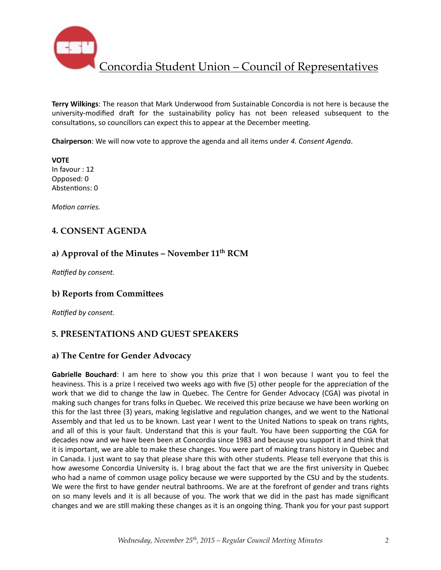

**Terry Wilkings:** The reason that Mark Underwood from Sustainable Concordia is not here is because the university-modified draft for the sustainability policy has not been released subsequent to the consultations, so councillors can expect this to appear at the December meeting.

**Chairperson**: We will now vote to approve the agenda and all items under 4. Consent Agenda.

**VOTE** In favour : 12 Opposed: 0 Abstentions: 0

*Motion carries.* 

## **4. CONSENT AGENDA**

## **a) Approval of the Minutes – November 11th RCM**

**Ratified by consent.** 

### **b) Reports from Committees**

**Ratified by consent.** 

## **5. PRESENTATIONS AND GUEST SPEAKERS**

### **a) The Centre for Gender Advocacy**

**Gabrielle Bouchard**: I am here to show you this prize that I won because I want you to feel the heaviness. This is a prize I received two weeks ago with five (5) other people for the appreciation of the work that we did to change the law in Quebec. The Centre for Gender Advocacy (CGA) was pivotal in making such changes for trans folks in Quebec. We received this prize because we have been working on this for the last three (3) years, making legislative and regulation changes, and we went to the National Assembly and that led us to be known. Last year I went to the United Nations to speak on trans rights, and all of this is your fault. Understand that this is your fault. You have been supporting the CGA for decades now and we have been been at Concordia since 1983 and because you support it and think that it is important, we are able to make these changes. You were part of making trans history in Quebec and in Canada. I just want to say that please share this with other students. Please tell everyone that this is how awesome Concordia University is. I brag about the fact that we are the first university in Quebec who had a name of common usage policy because we were supported by the CSU and by the students. We were the first to have gender neutral bathrooms. We are at the forefront of gender and trans rights on so many levels and it is all because of you. The work that we did in the past has made significant changes and we are still making these changes as it is an ongoing thing. Thank you for your past support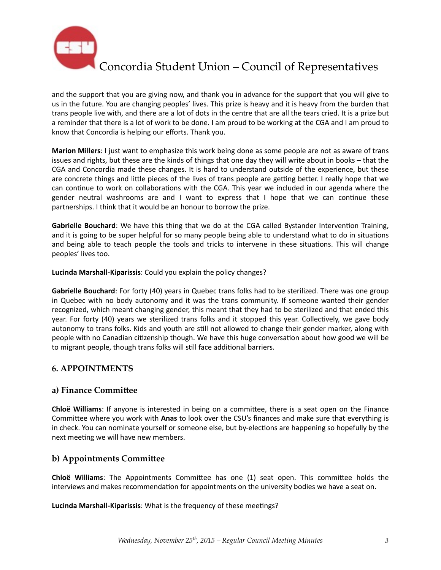

and the support that you are giving now, and thank you in advance for the support that you will give to us in the future. You are changing peoples' lives. This prize is heavy and it is heavy from the burden that trans people live with, and there are a lot of dots in the centre that are all the tears cried. It is a prize but a reminder that there is a lot of work to be done. I am proud to be working at the CGA and I am proud to know that Concordia is helping our efforts. Thank you.

**Marion Millers**: I just want to emphasize this work being done as some people are not as aware of trans issues and rights, but these are the kinds of things that one day they will write about in books – that the CGA and Concordia made these changes. It is hard to understand outside of the experience, but these are concrete things and little pieces of the lives of trans people are getting better. I really hope that we can continue to work on collaborations with the CGA. This year we included in our agenda where the gender neutral washrooms are and I want to express that I hope that we can continue these partnerships. I think that it would be an honour to borrow the prize.

Gabrielle Bouchard: We have this thing that we do at the CGA called Bystander Intervention Training, and it is going to be super helpful for so many people being able to understand what to do in situations and being able to teach people the tools and tricks to intervene in these situations. This will change peoples' lives too.

Lucinda Marshall-Kiparissis: Could you explain the policy changes?

Gabrielle Bouchard: For forty (40) years in Quebec trans folks had to be sterilized. There was one group in Quebec with no body autonomy and it was the trans community. If someone wanted their gender recognized, which meant changing gender, this meant that they had to be sterilized and that ended this year. For forty (40) years we sterilized trans folks and it stopped this year. Collectively, we gave body autonomy to trans folks. Kids and youth are still not allowed to change their gender marker, along with people with no Canadian citizenship though. We have this huge conversation about how good we will be to migrant people, though trans folks will still face additional barriers.

# **6. APPOINTMENTS**

## a) Finance Committee

**Chloë Williams**: If anyone is interested in being on a committee, there is a seat open on the Finance Committee where you work with Anas to look over the CSU's finances and make sure that everything is in check. You can nominate yourself or someone else, but by-elections are happening so hopefully by the next meeting we will have new members.

# **b) Appointments Committee**

**Chloë Williams**: The Appointments Committee has one (1) seat open. This committee holds the interviews and makes recommendation for appointments on the university bodies we have a seat on.

**Lucinda Marshall-Kiparissis:** What is the frequency of these meetings?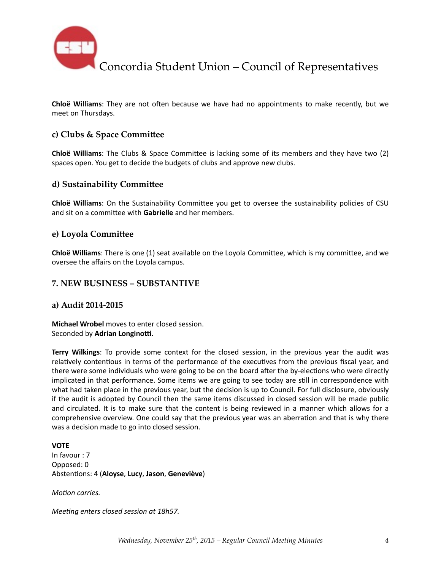

**Chloë Williams**: They are not often because we have had no appointments to make recently, but we meet on Thursdays.

## **c)** Clubs & Space Committee

**Chloë Williams**: The Clubs & Space Committee is lacking some of its members and they have two (2) spaces open. You get to decide the budgets of clubs and approve new clubs.

### **d) Sustainability Committee**

**Chloë Williams**: On the Sustainability Committee you get to oversee the sustainability policies of CSU and sit on a committee with **Gabrielle** and her members.

#### **e)** Loyola Committee

**Chloë Williams**: There is one (1) seat available on the Loyola Committee, which is my committee, and we oversee the affairs on the Loyola campus.

#### **7. NEW BUSINESS – SUBSTANTIVE**

#### **a) Audit 2014-2015**

**Michael Wrobel** moves to enter closed session. Seconded by Adrian Longinotti.

**Terry Wilkings**: To provide some context for the closed session, in the previous year the audit was relatively contentious in terms of the performance of the executives from the previous fiscal year, and there were some individuals who were going to be on the board after the by-elections who were directly implicated in that performance. Some items we are going to see today are still in correspondence with what had taken place in the previous year, but the decision is up to Council. For full disclosure, obviously if the audit is adopted by Council then the same items discussed in closed session will be made public and circulated. It is to make sure that the content is being reviewed in a manner which allows for a comprehensive overview. One could say that the previous year was an aberration and that is why there was a decision made to go into closed session.

**VOTE** In favour : 7 Opposed: 0 Absten%ons: 4 (**Aloyse**, **Lucy**, **Jason**, **Geneviève**)

*Motion carries.* 

*Meeting enters closed session at 18h57.*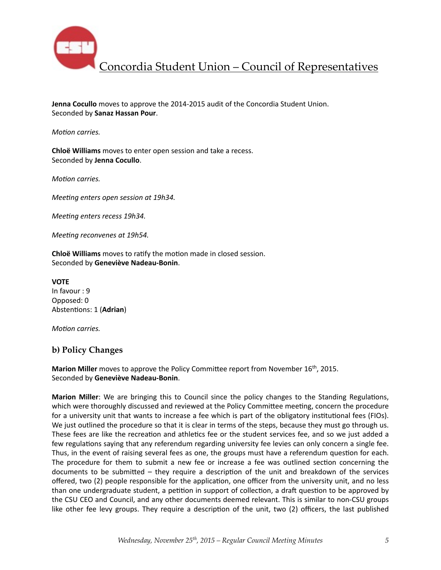

**Jenna Cocullo** moves to approve the 2014-2015 audit of the Concordia Student Union. Seconded by **Sanaz Hassan Pour**. 

*Motion carries.* 

**Chloë Williams** moves to enter open session and take a recess. Seconded by **Jenna Cocullo**. 

*Motion carries.* 

*Meeting enters open session at 19h34.* 

*Meeting enters recess 19h34.* 

*Meeting reconvenes at 19h54.* 

**Chloë Williams** moves to ratify the motion made in closed session. Seconded by **Geneviève Nadeau-Bonin**. 

**VOTE** In favour : 9 Opposed: 0 Abstentions: 1 (Adrian)

*Motion carries.* 

## **b) Policy Changes**

**Marion Miller** moves to approve the Policy Committee report from November 16<sup>th</sup>, 2015. Seconded by **Geneviève Nadeau-Bonin**. 

**Marion Miller**: We are bringing this to Council since the policy changes to the Standing Regulations, which were thoroughly discussed and reviewed at the Policy Committee meeting, concern the procedure for a university unit that wants to increase a fee which is part of the obligatory institutional fees (FIOs). We just outlined the procedure so that it is clear in terms of the steps, because they must go through us. These fees are like the recreation and athletics fee or the student services fee, and so we just added a few regulations saying that any referendum regarding university fee levies can only concern a single fee. Thus, in the event of raising several fees as one, the groups must have a referendum question for each. The procedure for them to submit a new fee or increase a fee was outlined section concerning the documents to be submitted  $-$  they require a description of the unit and breakdown of the services offered, two (2) people responsible for the application, one officer from the university unit, and no less than one undergraduate student, a petition in support of collection, a draft question to be approved by the CSU CEO and Council, and any other documents deemed relevant. This is similar to non-CSU groups like other fee levy groups. They require a description of the unit, two (2) officers, the last published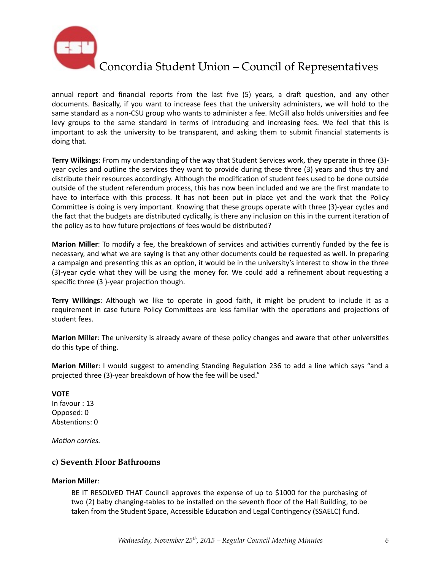

annual report and financial reports from the last five (5) years, a draft question, and any other documents. Basically, if you want to increase fees that the university administers, we will hold to the same standard as a non-CSU group who wants to administer a fee. McGill also holds universities and fee levy groups to the same standard in terms of introducing and increasing fees. We feel that this is important to ask the university to be transparent, and asking them to submit financial statements is doing that.

**Terry Wilkings**: From my understanding of the way that Student Services work, they operate in three (3)year cycles and outline the services they want to provide during these three (3) years and thus try and distribute their resources accordingly. Although the modification of student fees used to be done outside outside of the student referendum process, this has now been included and we are the first mandate to have to interface with this process. It has not been put in place yet and the work that the Policy Committee is doing is very important. Knowing that these groups operate with three (3)-year cycles and the fact that the budgets are distributed cyclically, is there any inclusion on this in the current iteration of the policy as to how future projections of fees would be distributed?

**Marion Miller**: To modify a fee, the breakdown of services and activities currently funded by the fee is necessary, and what we are saying is that any other documents could be requested as well. In preparing a campaign and presenting this as an option, it would be in the university's interest to show in the three  $(3)$ -year cycle what they will be using the money for. We could add a refinement about requesting a specific three  $(3)$ -year projection though.

**Terry Wilkings**: Although we like to operate in good faith, it might be prudent to include it as a requirement in case future Policy Committees are less familiar with the operations and projections of student fees.

**Marion Miller**: The university is already aware of these policy changes and aware that other universities do this type of thing.

**Marion Miller**: I would suggest to amending Standing Regulation 236 to add a line which says "and a projected three (3)-year breakdown of how the fee will be used."

**VOTE**  In favour : 13 Opposed: 0 Abstentions: 0

*Motion carries.* 

### **c) Seventh Floor Bathrooms**

#### **Marion Miller**:

BE IT RESOLVED THAT Council approves the expense of up to \$1000 for the purchasing of two (2) baby changing-tables to be installed on the seventh floor of the Hall Building, to be taken from the Student Space, Accessible Education and Legal Contingency (SSAELC) fund.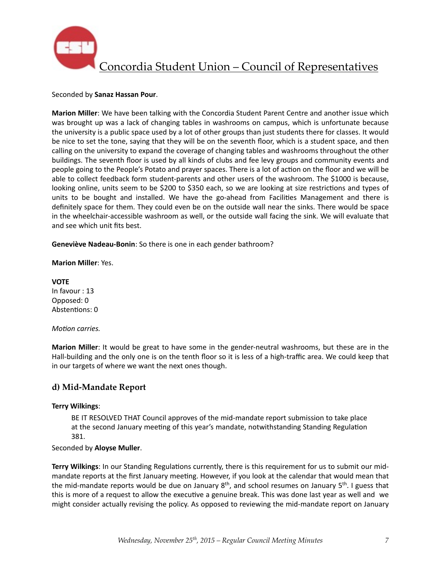

#### Seconded by **Sanaz Hassan Pour**.

**Marion Miller**: We have been talking with the Concordia Student Parent Centre and another issue which was brought up was a lack of changing tables in washrooms on campus, which is unfortunate because the university is a public space used by a lot of other groups than just students there for classes. It would be nice to set the tone, saying that they will be on the seventh floor, which is a student space, and then calling on the university to expand the coverage of changing tables and washrooms throughout the other buildings. The seventh floor is used by all kinds of clubs and fee levy groups and community events and people going to the People's Potato and prayer spaces. There is a lot of action on the floor and we will be able to collect feedback form student-parents and other users of the washroom. The \$1000 is because, looking online, units seem to be \$200 to \$350 each, so we are looking at size restrictions and types of units to be bought and installed. We have the go-ahead from Facilities Management and there is definitely space for them. They could even be on the outside wall near the sinks. There would be space in the wheelchair-accessible washroom as well, or the outside wall facing the sink. We will evaluate that and see which unit fits best.

**Geneviève Nadeau-Bonin**: So there is one in each gender bathroom?

#### **Marion Miller: Yes.**

**VOTE**  In favour : 13 Opposed: 0 Abstentions: 0

#### *Motion carries.*

**Marion Miller**: It would be great to have some in the gender-neutral washrooms, but these are in the Hall-building and the only one is on the tenth floor so it is less of a high-traffic area. We could keep that in our targets of where we want the next ones though.

## **d) Mid-Mandate Report**

#### **Terry Wilkings**:

BE IT RESOLVED THAT Council approves of the mid-mandate report submission to take place at the second January meeting of this year's mandate, notwithstanding Standing Regulation 381. 

#### Seconded by **Aloyse Muller**.

Terry Wilkings: In our Standing Regulations currently, there is this requirement for us to submit our midmandate reports at the first January meeting. However, if you look at the calendar that would mean that the mid-mandate reports would be due on January  $8<sup>th</sup>$ , and school resumes on January  $5<sup>th</sup>$ . I guess that this is more of a request to allow the executive a genuine break. This was done last year as well and we might consider actually revising the policy. As opposed to reviewing the mid-mandate report on January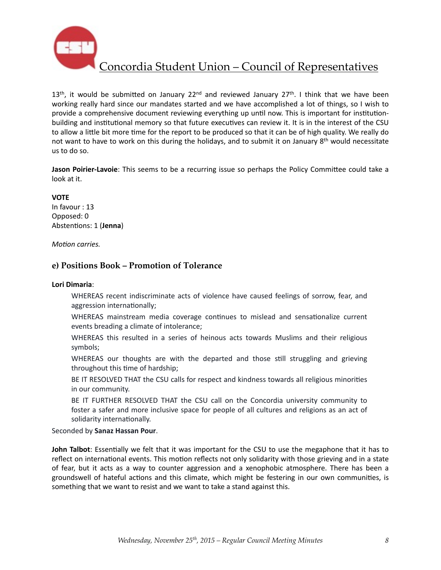

 $13<sup>th</sup>$ , it would be submitted on January  $22<sup>nd</sup>$  and reviewed January  $27<sup>th</sup>$ . I think that we have been working really hard since our mandates started and we have accomplished a lot of things, so I wish to provide a comprehensive document reviewing everything up until now. This is important for institutionbuilding and institutional memory so that future executives can review it. It is in the interest of the CSU to allow a little bit more time for the report to be produced so that it can be of high quality. We really do not want to have to work on this during the holidays, and to submit it on January  $8<sup>th</sup>$  would necessitate us to do so.

Jason Poirier-Lavoie: This seems to be a recurring issue so perhaps the Policy Committee could take a look at it.

#### **VOTE**

In favour : 13 Opposed: 0 Abstentions: 1 (Jenna)

*Motion carries.* 

### **e) Positions Book – Promotion of Tolerance**

#### **Lori Dimaria**:

WHEREAS recent indiscriminate acts of violence have caused feelings of sorrow, fear, and aggression internationally;

WHEREAS mainstream media coverage continues to mislead and sensationalize current events breading a climate of intolerance;

WHEREAS this resulted in a series of heinous acts towards Muslims and their religious symbols;

WHEREAS our thoughts are with the departed and those still struggling and grieving throughout this time of hardship;

BE IT RESOLVED THAT the CSU calls for respect and kindness towards all religious minorities in our community.

BE IT FURTHER RESOLVED THAT the CSU call on the Concordia university community to foster a safer and more inclusive space for people of all cultures and religions as an act of solidarity internationally.

#### Seconded by **Sanaz Hassan Pour**.

**John Talbot**: Essentially we felt that it was important for the CSU to use the megaphone that it has to reflect on international events. This motion reflects not only solidarity with those grieving and in a state of fear, but it acts as a way to counter aggression and a xenophobic atmosphere. There has been a groundswell of hateful actions and this climate, which might be festering in our own communities, is something that we want to resist and we want to take a stand against this.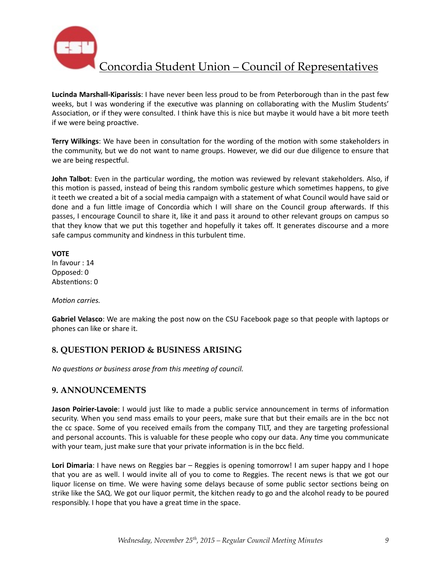

**Lucinda Marshall-Kiparissis**: I have never been less proud to be from Peterborough than in the past few weeks, but I was wondering if the executive was planning on collaborating with the Muslim Students' Association, or if they were consulted. I think have this is nice but maybe it would have a bit more teeth if we were being proactive.

**Terry Wilkings:** We have been in consultation for the wording of the motion with some stakeholders in the community, but we do not want to name groups. However, we did our due diligence to ensure that we are being respectful.

**John Talbot**: Even in the particular wording, the motion was reviewed by relevant stakeholders. Also, if this motion is passed, instead of being this random symbolic gesture which sometimes happens, to give it teeth we created a bit of a social media campaign with a statement of what Council would have said or done and a fun little image of Concordia which I will share on the Council group afterwards. If this passes, I encourage Council to share it, like it and pass it around to other relevant groups on campus so that they know that we put this together and hopefully it takes off. It generates discourse and a more safe campus community and kindness in this turbulent time.

**VOTE** In favour : 14 Opposed: 0 Abstentions: 0

*Motion carries.* 

Gabriel Velasco: We are making the post now on the CSU Facebook page so that people with laptops or phones can like or share it.

## **8. QUESTION PERIOD & BUSINESS ARISING**

*No questions or business arose from this meeting of council.* 

## **9. ANNOUNCEMENTS**

**Jason Poirier-Lavoie**: I would just like to made a public service announcement in terms of information security. When you send mass emails to your peers, make sure that but their emails are in the bcc not the cc space. Some of you received emails from the company TILT, and they are targeting professional and personal accounts. This is valuable for these people who copy our data. Any time you communicate with your team, just make sure that your private information is in the bcc field.

Lori Dimaria: I have news on Reggies bar - Reggies is opening tomorrow! I am super happy and I hope that you are as well. I would invite all of you to come to Reggies. The recent news is that we got our liquor license on time. We were having some delays because of some public sector sections being on strike like the SAQ. We got our liquor permit, the kitchen ready to go and the alcohol ready to be poured responsibly. I hope that you have a great time in the space.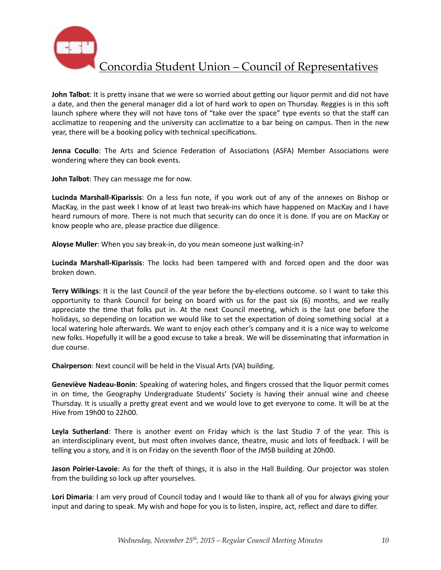

**John Talbot**: It is pretty insane that we were so worried about getting our liquor permit and did not have a date, and then the general manager did a lot of hard work to open on Thursday. Reggies is in this soft launch sphere where they will not have tons of "take over the space" type events so that the staff can acclimatize to reopening and the university can acclimatize to a bar being on campus. Then in the new year, there will be a booking policy with technical specifications.

**Jenna Cocullo**: The Arts and Science Federation of Associations (ASFA) Member Associations were wondering where they can book events.

**John Talbot:** They can message me for now.

**Lucinda Marshall-Kiparissis**: On a less fun note, if you work out of any of the annexes on Bishop or MacKay, in the past week I know of at least two break-ins which have happened on MacKay and I have heard rumours of more. There is not much that security can do once it is done. If you are on MacKay or know people who are, please practice due diligence.

Aloyse Muller: When you say break-in, do you mean someone just walking-in?

**Lucinda Marshall-Kiparissis**: The locks had been tampered with and forced open and the door was broken down. 

Terry Wilkings: It is the last Council of the year before the by-elections outcome. so I want to take this opportunity to thank Council for being on board with us for the past six  $(6)$  months, and we really appreciate the time that folks put in. At the next Council meeting, which is the last one before the holidays, so depending on location we would like to set the expectation of doing something social at a local watering hole afterwards. We want to enjoy each other's company and it is a nice way to welcome new folks. Hopefully it will be a good excuse to take a break. We will be disseminating that information in due course.

**Chairperson**: Next council will be held in the Visual Arts (VA) building.

**Geneviève Nadeau-Bonin:** Speaking of watering holes, and fingers crossed that the liquor permit comes in on time, the Geography Undergraduate Students' Society is having their annual wine and cheese Thursday. It is usually a pretty great event and we would love to get everyone to come. It will be at the Hive from 19h00 to 22h00.

Leyla Sutherland: There is another event on Friday which is the last Studio 7 of the year. This is an interdisciplinary event, but most often involves dance, theatre, music and lots of feedback. I will be telling you a story, and it is on Friday on the seventh floor of the JMSB building at 20h00.

**Jason Poirier-Lavoie**: As for the theft of things, it is also in the Hall Building. Our projector was stolen from the building so lock up after yourselves.

Lori Dimaria: I am very proud of Council today and I would like to thank all of you for always giving your input and daring to speak. My wish and hope for you is to listen, inspire, act, reflect and dare to differ.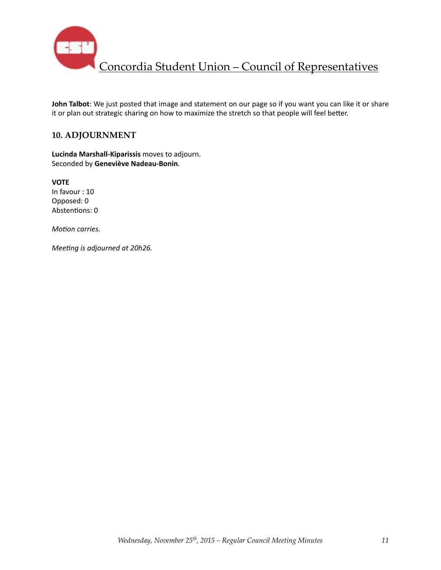

**John Talbot**: We just posted that image and statement on our page so if you want you can like it or share it or plan out strategic sharing on how to maximize the stretch so that people will feel better.

## **10. ADJOURNMENT**

**Lucinda Marshall-Kiparissis** moves to adjourn. Seconded by **Geneviève Nadeau-Bonin**. 

**VOTE**  In favour : 10 Opposed: 0 Abstentions: 0

*Motion carries.* 

*Meeting is adjourned at 20h26.*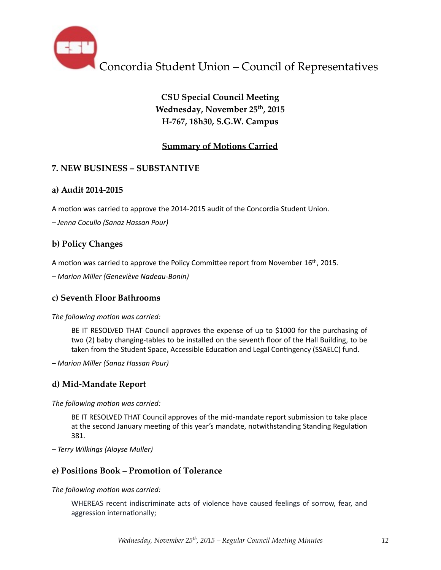

# **CSU Special Council Meeting Wednesday, November 25th, 2015 H-767, 18h30, S.G.W. Campus**

# **Summary of Motions Carried**

# **7. NEW BUSINESS – SUBSTANTIVE**

# **a) Audit 2014-2015**

A motion was carried to approve the 2014-2015 audit of the Concordia Student Union.

*– Jenna Cocullo (Sanaz Hassan Pour)* 

# **b) Policy Changes**

A motion was carried to approve the Policy Committee report from November  $16<sup>th</sup>$ , 2015.

*– Marion Miller (Geneviève Nadeau-Bonin)* 

# **c) Seventh Floor Bathrooms**

## The following motion was carried:

BE IT RESOLVED THAT Council approves the expense of up to \$1000 for the purchasing of two (2) baby changing-tables to be installed on the seventh floor of the Hall Building, to be taken from the Student Space, Accessible Education and Legal Contingency (SSAELC) fund.

*– Marion Miller (Sanaz Hassan Pour)* 

# **d) Mid-Mandate Report**

The following motion was carried:

BE IT RESOLVED THAT Council approves of the mid-mandate report submission to take place at the second January meeting of this year's mandate, notwithstanding Standing Regulation 381. 

*– Terry Wilkings (Aloyse Muller)* 

# **e) Positions Book – Promotion of Tolerance**

The following motion was carried:

WHEREAS recent indiscriminate acts of violence have caused feelings of sorrow, fear, and aggression internationally;